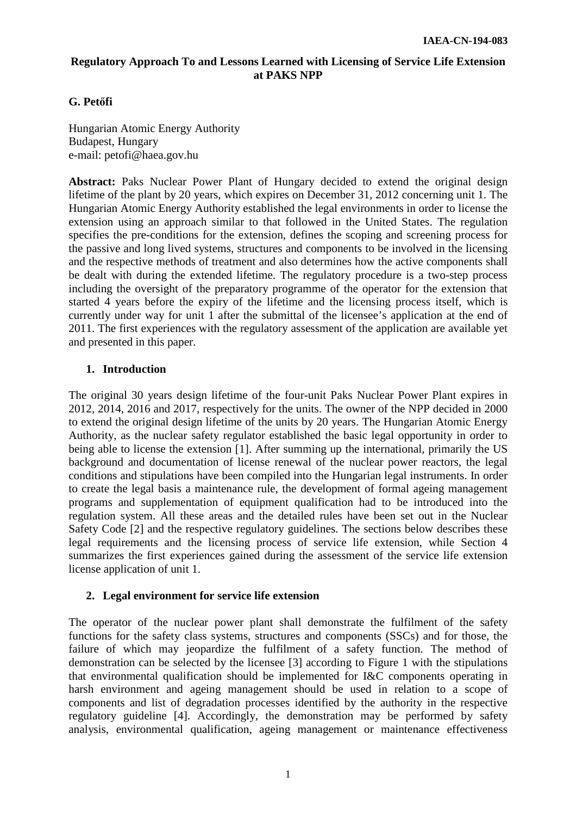# **Regulatory Approach To and Lessons Learned with Licensing of Service Life Extension at PAKS NPP**

# **G. Petőfi**

Hungarian Atomic Energy Authority Budapest, Hungary e-mail: petofi@haea.gov.hu

**Abstract:** Paks Nuclear Power Plant of Hungary decided to extend the original design lifetime of the plant by 20 years, which expires on December 31, 2012 concerning unit 1. The Hungarian Atomic Energy Authority established the legal environments in order to license the extension using an approach similar to that followed in the United States. The regulation specifies the pre-conditions for the extension, defines the scoping and screening process for the passive and long lived systems, structures and components to be involved in the licensing and the respective methods of treatment and also determines how the active components shall be dealt with during the extended lifetime. The regulatory procedure is a two-step process including the oversight of the preparatory programme of the operator for the extension that started 4 years before the expiry of the lifetime and the licensing process itself, which is currently under way for unit 1 after the submittal of the licensee's application at the end of 2011. The first experiences with the regulatory assessment of the application are available yet and presented in this paper.

## **1. Introduction**

The original 30 years design lifetime of the four-unit Paks Nuclear Power Plant expires in 2012, 2014, 2016 and 2017, respectively for the units. The owner of the NPP decided in 2000 to extend the original design lifetime of the units by 20 years. The Hungarian Atomic Energy Authority, as the nuclear safety regulator established the basic legal opportunity in order to being able to license the extension [1]. After summing up the international, primarily the US background and documentation of license renewal of the nuclear power reactors, the legal conditions and stipulations have been compiled into the Hungarian legal instruments. In order to create the legal basis a maintenance rule, the development of formal ageing management programs and supplementation of equipment qualification had to be introduced into the regulation system. All these areas and the detailed rules have been set out in the Nuclear Safety Code [2] and the respective regulatory guidelines. The sections below describes these legal requirements and the licensing process of service life extension, while Section 4 summarizes the first experiences gained during the assessment of the service life extension license application of unit 1.

### **2. Legal environment for service life extension**

The operator of the nuclear power plant shall demonstrate the fulfilment of the safety functions for the safety class systems, structures and components (SSCs) and for those, the failure of which may jeopardize the fulfilment of a safety function. The method of demonstration can be selected by the licensee [3] according to Figure 1 with the stipulations that environmental qualification should be implemented for I&C components operating in harsh environment and ageing management should be used in relation to a scope of components and list of degradation processes identified by the authority in the respective regulatory guideline [4]. Accordingly, the demonstration may be performed by safety analysis, environmental qualification, ageing management or maintenance effectiveness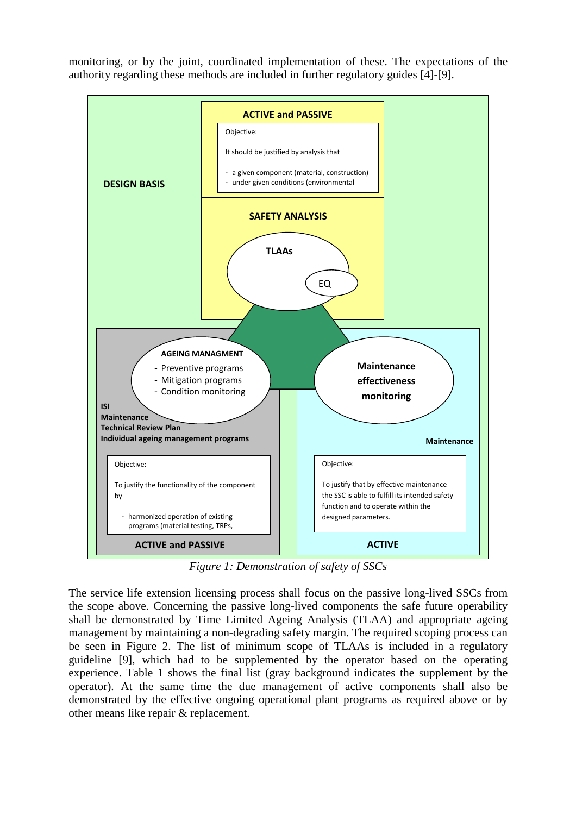monitoring, or by the joint, coordinated implementation of these. The expectations of the authority regarding these methods are included in further regulatory guides [4]-[9].



*Figure 1: Demonstration of safety of SSCs* 

The service life extension licensing process shall focus on the passive long-lived SSCs from the scope above. Concerning the passive long-lived components the safe future operability shall be demonstrated by Time Limited Ageing Analysis (TLAA) and appropriate ageing management by maintaining a non-degrading safety margin. The required scoping process can be seen in Figure 2. The list of minimum scope of TLAAs is included in a regulatory guideline [9], which had to be supplemented by the operator based on the operating experience. Table 1 shows the final list (gray background indicates the supplement by the operator). At the same time the due management of active components shall also be demonstrated by the effective ongoing operational plant programs as required above or by other means like repair & replacement.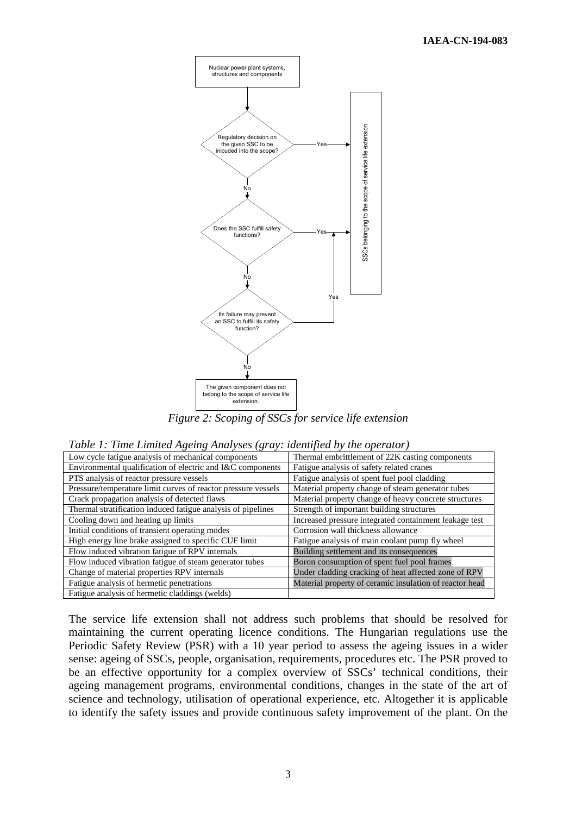

*Figure 2: Scoping of SSCs for service life extension* 

|  | Table 1: Time Limited Ageing Analyses (gray: identified by the operator) |  |  |  |
|--|--------------------------------------------------------------------------|--|--|--|
|--|--------------------------------------------------------------------------|--|--|--|

| Low cycle fatigue analysis of mechanical components           | Thermal embrittlement of 22K casting components         |  |
|---------------------------------------------------------------|---------------------------------------------------------|--|
| Environmental qualification of electric and I&C components    | Fatigue analysis of safety related cranes               |  |
| PTS analysis of reactor pressure vessels                      | Fatigue analysis of spent fuel pool cladding            |  |
| Pressure/temperature limit curves of reactor pressure vessels | Material property change of steam generator tubes       |  |
| Crack propagation analysis of detected flaws                  | Material property change of heavy concrete structures   |  |
| Thermal stratification induced fatigue analysis of pipelines  | Strength of important building structures               |  |
| Cooling down and heating up limits                            | Increased pressure integrated containment leakage test  |  |
| Initial conditions of transient operating modes               | Corrosion wall thickness allowance                      |  |
| High energy line brake assigned to specific CUF limit         | Fatigue analysis of main coolant pump fly wheel         |  |
| Flow induced vibration fatigue of RPV internals               | Building settlement and its consequences                |  |
| Flow induced vibration fatigue of steam generator tubes       | Boron consumption of spent fuel pool frames             |  |
| Change of material properties RPV internals                   | Under cladding cracking of heat affected zone of RPV    |  |
| Fatigue analysis of hermetic penetrations                     | Material property of ceramic insulation of reactor head |  |
| Fatigue analysis of hermetic claddings (welds)                |                                                         |  |

The service life extension shall not address such problems that should be resolved for maintaining the current operating licence conditions. The Hungarian regulations use the Periodic Safety Review (PSR) with a 10 year period to assess the ageing issues in a wider sense: ageing of SSCs, people, organisation, requirements, procedures etc. The PSR proved to be an effective opportunity for a complex overview of SSCs' technical conditions, their ageing management programs, environmental conditions, changes in the state of the art of science and technology, utilisation of operational experience, etc. Altogether it is applicable to identify the safety issues and provide continuous safety improvement of the plant. On the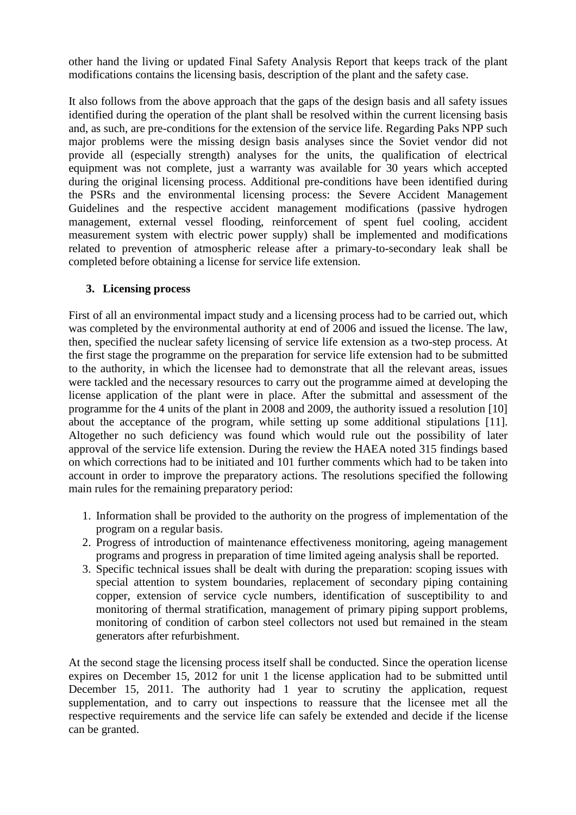other hand the living or updated Final Safety Analysis Report that keeps track of the plant modifications contains the licensing basis, description of the plant and the safety case.

It also follows from the above approach that the gaps of the design basis and all safety issues identified during the operation of the plant shall be resolved within the current licensing basis and, as such, are pre-conditions for the extension of the service life. Regarding Paks NPP such major problems were the missing design basis analyses since the Soviet vendor did not provide all (especially strength) analyses for the units, the qualification of electrical equipment was not complete, just a warranty was available for 30 years which accepted during the original licensing process. Additional pre-conditions have been identified during the PSRs and the environmental licensing process: the Severe Accident Management Guidelines and the respective accident management modifications (passive hydrogen management, external vessel flooding, reinforcement of spent fuel cooling, accident measurement system with electric power supply) shall be implemented and modifications related to prevention of atmospheric release after a primary-to-secondary leak shall be completed before obtaining a license for service life extension.

# **3. Licensing process**

First of all an environmental impact study and a licensing process had to be carried out, which was completed by the environmental authority at end of 2006 and issued the license. The law, then, specified the nuclear safety licensing of service life extension as a two-step process. At the first stage the programme on the preparation for service life extension had to be submitted to the authority, in which the licensee had to demonstrate that all the relevant areas, issues were tackled and the necessary resources to carry out the programme aimed at developing the license application of the plant were in place. After the submittal and assessment of the programme for the 4 units of the plant in 2008 and 2009, the authority issued a resolution [10] about the acceptance of the program, while setting up some additional stipulations [11]. Altogether no such deficiency was found which would rule out the possibility of later approval of the service life extension. During the review the HAEA noted 315 findings based on which corrections had to be initiated and 101 further comments which had to be taken into account in order to improve the preparatory actions. The resolutions specified the following main rules for the remaining preparatory period:

- 1. Information shall be provided to the authority on the progress of implementation of the program on a regular basis.
- 2. Progress of introduction of maintenance effectiveness monitoring, ageing management programs and progress in preparation of time limited ageing analysis shall be reported.
- 3. Specific technical issues shall be dealt with during the preparation: scoping issues with special attention to system boundaries, replacement of secondary piping containing copper, extension of service cycle numbers, identification of susceptibility to and monitoring of thermal stratification, management of primary piping support problems, monitoring of condition of carbon steel collectors not used but remained in the steam generators after refurbishment.

At the second stage the licensing process itself shall be conducted. Since the operation license expires on December 15, 2012 for unit 1 the license application had to be submitted until December 15, 2011. The authority had 1 year to scrutiny the application, request supplementation, and to carry out inspections to reassure that the licensee met all the respective requirements and the service life can safely be extended and decide if the license can be granted.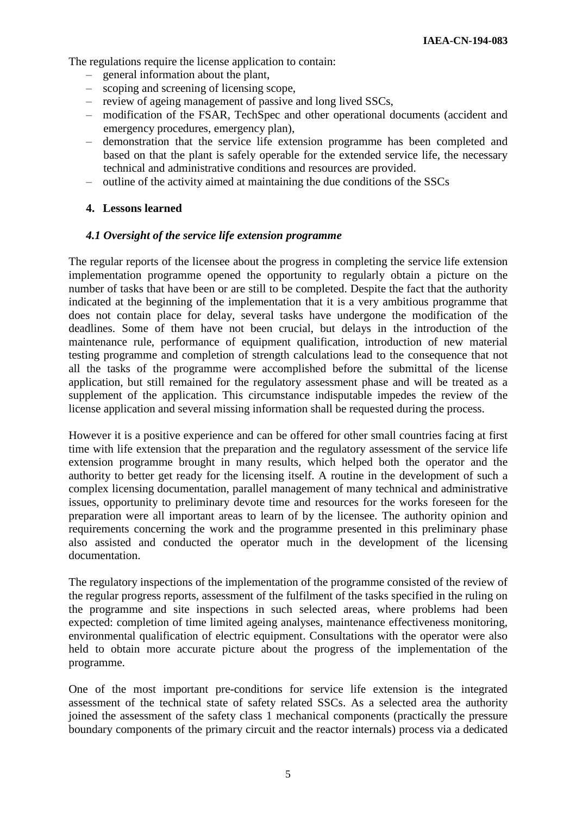The regulations require the license application to contain:

- ‒ general information about the plant,
- ‒ scoping and screening of licensing scope,
- ‒ review of ageing management of passive and long lived SSCs,
- ‒ modification of the FSAR, TechSpec and other operational documents (accident and emergency procedures, emergency plan),
- ‒ demonstration that the service life extension programme has been completed and based on that the plant is safely operable for the extended service life, the necessary technical and administrative conditions and resources are provided.
- ‒ outline of the activity aimed at maintaining the due conditions of the SSCs

### **4. Lessons learned**

### *4.1 Oversight of the service life extension programme*

The regular reports of the licensee about the progress in completing the service life extension implementation programme opened the opportunity to regularly obtain a picture on the number of tasks that have been or are still to be completed. Despite the fact that the authority indicated at the beginning of the implementation that it is a very ambitious programme that does not contain place for delay, several tasks have undergone the modification of the deadlines. Some of them have not been crucial, but delays in the introduction of the maintenance rule, performance of equipment qualification, introduction of new material testing programme and completion of strength calculations lead to the consequence that not all the tasks of the programme were accomplished before the submittal of the license application, but still remained for the regulatory assessment phase and will be treated as a supplement of the application. This circumstance indisputable impedes the review of the license application and several missing information shall be requested during the process.

However it is a positive experience and can be offered for other small countries facing at first time with life extension that the preparation and the regulatory assessment of the service life extension programme brought in many results, which helped both the operator and the authority to better get ready for the licensing itself. A routine in the development of such a complex licensing documentation, parallel management of many technical and administrative issues, opportunity to preliminary devote time and resources for the works foreseen for the preparation were all important areas to learn of by the licensee. The authority opinion and requirements concerning the work and the programme presented in this preliminary phase also assisted and conducted the operator much in the development of the licensing documentation.

The regulatory inspections of the implementation of the programme consisted of the review of the regular progress reports, assessment of the fulfilment of the tasks specified in the ruling on the programme and site inspections in such selected areas, where problems had been expected: completion of time limited ageing analyses, maintenance effectiveness monitoring, environmental qualification of electric equipment. Consultations with the operator were also held to obtain more accurate picture about the progress of the implementation of the programme.

One of the most important pre-conditions for service life extension is the integrated assessment of the technical state of safety related SSCs. As a selected area the authority joined the assessment of the safety class 1 mechanical components (practically the pressure boundary components of the primary circuit and the reactor internals) process via a dedicated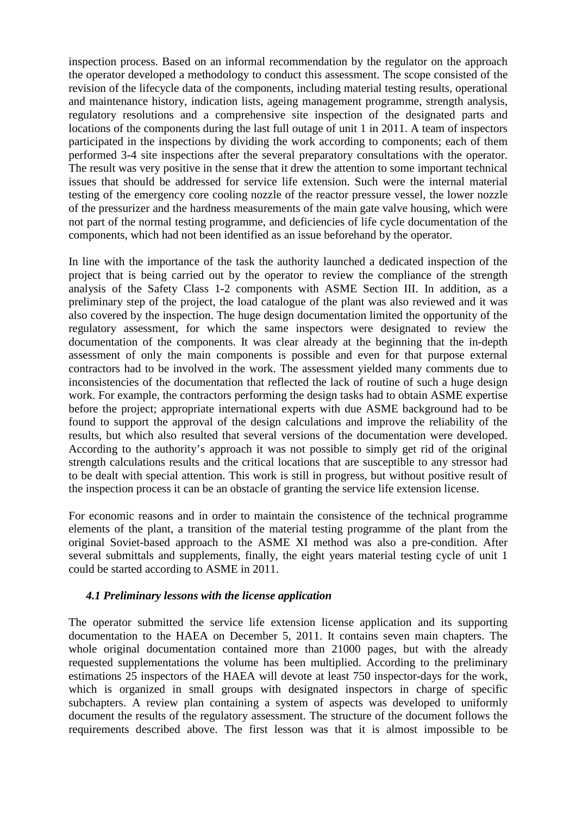inspection process. Based on an informal recommendation by the regulator on the approach the operator developed a methodology to conduct this assessment. The scope consisted of the revision of the lifecycle data of the components, including material testing results, operational and maintenance history, indication lists, ageing management programme, strength analysis, regulatory resolutions and a comprehensive site inspection of the designated parts and locations of the components during the last full outage of unit 1 in 2011. A team of inspectors participated in the inspections by dividing the work according to components; each of them performed 3-4 site inspections after the several preparatory consultations with the operator. The result was very positive in the sense that it drew the attention to some important technical issues that should be addressed for service life extension. Such were the internal material testing of the emergency core cooling nozzle of the reactor pressure vessel, the lower nozzle of the pressurizer and the hardness measurements of the main gate valve housing, which were not part of the normal testing programme, and deficiencies of life cycle documentation of the components, which had not been identified as an issue beforehand by the operator.

In line with the importance of the task the authority launched a dedicated inspection of the project that is being carried out by the operator to review the compliance of the strength analysis of the Safety Class 1-2 components with ASME Section III. In addition, as a preliminary step of the project, the load catalogue of the plant was also reviewed and it was also covered by the inspection. The huge design documentation limited the opportunity of the regulatory assessment, for which the same inspectors were designated to review the documentation of the components. It was clear already at the beginning that the in-depth assessment of only the main components is possible and even for that purpose external contractors had to be involved in the work. The assessment yielded many comments due to inconsistencies of the documentation that reflected the lack of routine of such a huge design work. For example, the contractors performing the design tasks had to obtain ASME expertise before the project; appropriate international experts with due ASME background had to be found to support the approval of the design calculations and improve the reliability of the results, but which also resulted that several versions of the documentation were developed. According to the authority's approach it was not possible to simply get rid of the original strength calculations results and the critical locations that are susceptible to any stressor had to be dealt with special attention. This work is still in progress, but without positive result of the inspection process it can be an obstacle of granting the service life extension license.

For economic reasons and in order to maintain the consistence of the technical programme elements of the plant, a transition of the material testing programme of the plant from the original Soviet-based approach to the ASME XI method was also a pre-condition. After several submittals and supplements, finally, the eight years material testing cycle of unit 1 could be started according to ASME in 2011.

# *4.1 Preliminary lessons with the license application*

The operator submitted the service life extension license application and its supporting documentation to the HAEA on December 5, 2011. It contains seven main chapters. The whole original documentation contained more than 21000 pages, but with the already requested supplementations the volume has been multiplied. According to the preliminary estimations 25 inspectors of the HAEA will devote at least 750 inspector-days for the work, which is organized in small groups with designated inspectors in charge of specific subchapters. A review plan containing a system of aspects was developed to uniformly document the results of the regulatory assessment. The structure of the document follows the requirements described above. The first lesson was that it is almost impossible to be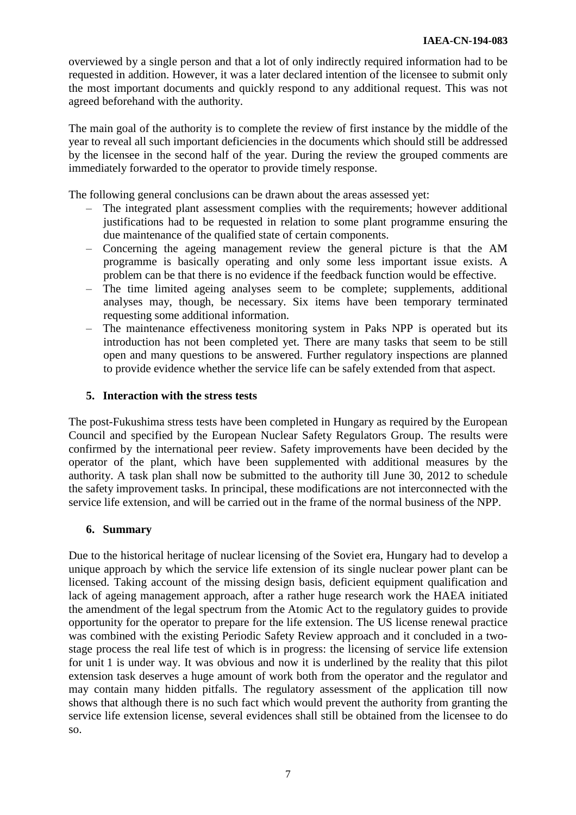overviewed by a single person and that a lot of only indirectly required information had to be requested in addition. However, it was a later declared intention of the licensee to submit only the most important documents and quickly respond to any additional request. This was not agreed beforehand with the authority.

The main goal of the authority is to complete the review of first instance by the middle of the year to reveal all such important deficiencies in the documents which should still be addressed by the licensee in the second half of the year. During the review the grouped comments are immediately forwarded to the operator to provide timely response.

The following general conclusions can be drawn about the areas assessed yet:

- ‒ The integrated plant assessment complies with the requirements; however additional justifications had to be requested in relation to some plant programme ensuring the due maintenance of the qualified state of certain components.
- ‒ Concerning the ageing management review the general picture is that the AM programme is basically operating and only some less important issue exists. A problem can be that there is no evidence if the feedback function would be effective.
- ‒ The time limited ageing analyses seem to be complete; supplements, additional analyses may, though, be necessary. Six items have been temporary terminated requesting some additional information.
- ‒ The maintenance effectiveness monitoring system in Paks NPP is operated but its introduction has not been completed yet. There are many tasks that seem to be still open and many questions to be answered. Further regulatory inspections are planned to provide evidence whether the service life can be safely extended from that aspect.

# **5. Interaction with the stress tests**

The post-Fukushima stress tests have been completed in Hungary as required by the European Council and specified by the European Nuclear Safety Regulators Group. The results were confirmed by the international peer review. Safety improvements have been decided by the operator of the plant, which have been supplemented with additional measures by the authority. A task plan shall now be submitted to the authority till June 30, 2012 to schedule the safety improvement tasks. In principal, these modifications are not interconnected with the service life extension, and will be carried out in the frame of the normal business of the NPP.

### **6. Summary**

Due to the historical heritage of nuclear licensing of the Soviet era, Hungary had to develop a unique approach by which the service life extension of its single nuclear power plant can be licensed. Taking account of the missing design basis, deficient equipment qualification and lack of ageing management approach, after a rather huge research work the HAEA initiated the amendment of the legal spectrum from the Atomic Act to the regulatory guides to provide opportunity for the operator to prepare for the life extension. The US license renewal practice was combined with the existing Periodic Safety Review approach and it concluded in a twostage process the real life test of which is in progress: the licensing of service life extension for unit 1 is under way. It was obvious and now it is underlined by the reality that this pilot extension task deserves a huge amount of work both from the operator and the regulator and may contain many hidden pitfalls. The regulatory assessment of the application till now shows that although there is no such fact which would prevent the authority from granting the service life extension license, several evidences shall still be obtained from the licensee to do so.